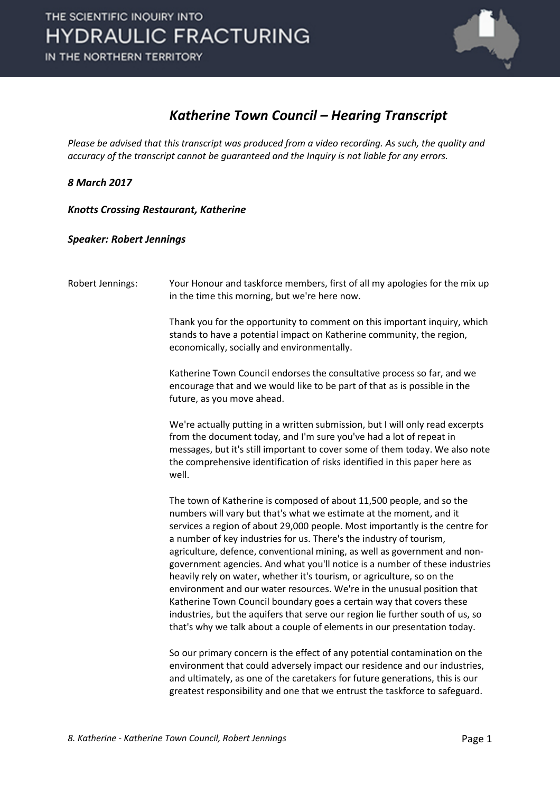

## *Katherine Town Council – Hearing Transcript*

*Please be advised that this transcript was produced from a video recording. As such, the quality and accuracy of the transcript cannot be guaranteed and the Inquiry is not liable for any errors.*

*8 March 2017* 

*Knotts Crossing Restaurant, Katherine* 

*Speaker: Robert Jennings*

| Robert Jennings: | Your Honour and taskforce members, first of all my apologies for the mix up<br>in the time this morning, but we're here now.                                                                                                                                                                                                                                                                                                                                                                                                                                                                                                                                                                                                                                                                                                                              |
|------------------|-----------------------------------------------------------------------------------------------------------------------------------------------------------------------------------------------------------------------------------------------------------------------------------------------------------------------------------------------------------------------------------------------------------------------------------------------------------------------------------------------------------------------------------------------------------------------------------------------------------------------------------------------------------------------------------------------------------------------------------------------------------------------------------------------------------------------------------------------------------|
|                  | Thank you for the opportunity to comment on this important inquiry, which<br>stands to have a potential impact on Katherine community, the region,<br>economically, socially and environmentally.                                                                                                                                                                                                                                                                                                                                                                                                                                                                                                                                                                                                                                                         |
|                  | Katherine Town Council endorses the consultative process so far, and we<br>encourage that and we would like to be part of that as is possible in the<br>future, as you move ahead.                                                                                                                                                                                                                                                                                                                                                                                                                                                                                                                                                                                                                                                                        |
|                  | We're actually putting in a written submission, but I will only read excerpts<br>from the document today, and I'm sure you've had a lot of repeat in<br>messages, but it's still important to cover some of them today. We also note<br>the comprehensive identification of risks identified in this paper here as<br>well.                                                                                                                                                                                                                                                                                                                                                                                                                                                                                                                               |
|                  | The town of Katherine is composed of about 11,500 people, and so the<br>numbers will vary but that's what we estimate at the moment, and it<br>services a region of about 29,000 people. Most importantly is the centre for<br>a number of key industries for us. There's the industry of tourism,<br>agriculture, defence, conventional mining, as well as government and non-<br>government agencies. And what you'll notice is a number of these industries<br>heavily rely on water, whether it's tourism, or agriculture, so on the<br>environment and our water resources. We're in the unusual position that<br>Katherine Town Council boundary goes a certain way that covers these<br>industries, but the aquifers that serve our region lie further south of us, so<br>that's why we talk about a couple of elements in our presentation today. |
|                  | So our primary concern is the effect of any potential contamination on the<br>environment that could adversely impact our residence and our industries,<br>and ultimately, as one of the caretakers for future generations, this is our                                                                                                                                                                                                                                                                                                                                                                                                                                                                                                                                                                                                                   |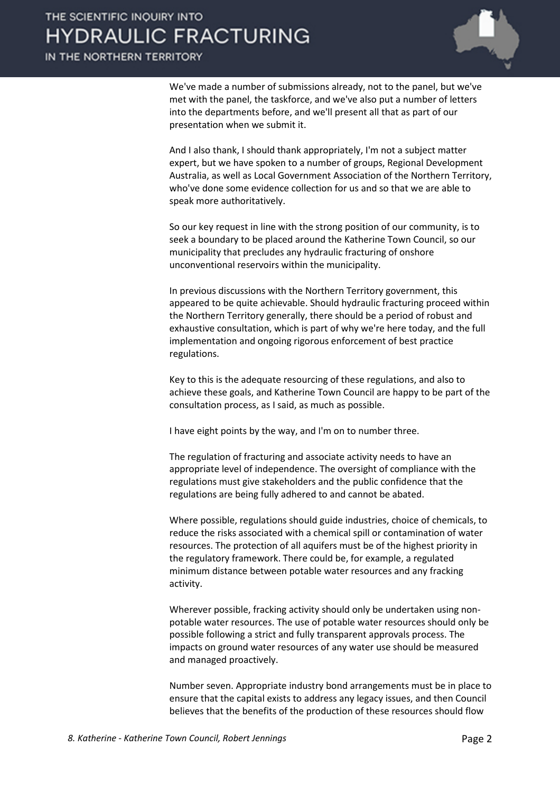We've made a number of submissions already, not to the panel, but we've met with the panel, the taskforce, and we've also put a number of letters into the departments before, and we'll present all that as part of our presentation when we submit it.

And I also thank, I should thank appropriately, I'm not a subject matter expert, but we have spoken to a number of groups, Regional Development Australia, as well as Local Government Association of the Northern Territory, who've done some evidence collection for us and so that we are able to speak more authoritatively.

So our key request in line with the strong position of our community, is to seek a boundary to be placed around the Katherine Town Council, so our municipality that precludes any hydraulic fracturing of onshore unconventional reservoirs within the municipality.

In previous discussions with the Northern Territory government, this appeared to be quite achievable. Should hydraulic fracturing proceed within the Northern Territory generally, there should be a period of robust and exhaustive consultation, which is part of why we're here today, and the full implementation and ongoing rigorous enforcement of best practice regulations.

Key to this is the adequate resourcing of these regulations, and also to achieve these goals, and Katherine Town Council are happy to be part of the consultation process, as I said, as much as possible.

I have eight points by the way, and I'm on to number three.

The regulation of fracturing and associate activity needs to have an appropriate level of independence. The oversight of compliance with the regulations must give stakeholders and the public confidence that the regulations are being fully adhered to and cannot be abated.

Where possible, regulations should guide industries, choice of chemicals, to reduce the risks associated with a chemical spill or contamination of water resources. The protection of all aquifers must be of the highest priority in the regulatory framework. There could be, for example, a regulated minimum distance between potable water resources and any fracking activity.

Wherever possible, fracking activity should only be undertaken using nonpotable water resources. The use of potable water resources should only be possible following a strict and fully transparent approvals process. The impacts on ground water resources of any water use should be measured and managed proactively.

Number seven. Appropriate industry bond arrangements must be in place to ensure that the capital exists to address any legacy issues, and then Council believes that the benefits of the production of these resources should flow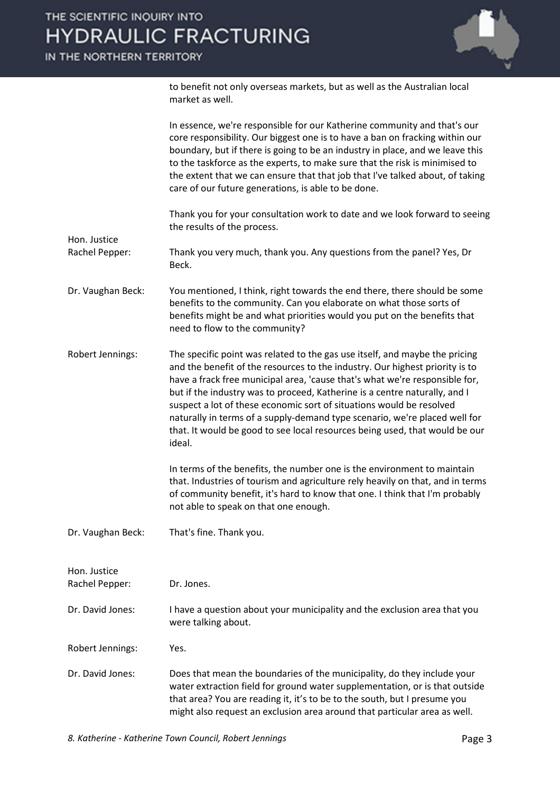to benefit not only overseas markets, but as well as the Australian local market as well.

|                                | In essence, we're responsible for our Katherine community and that's our<br>core responsibility. Our biggest one is to have a ban on fracking within our<br>boundary, but if there is going to be an industry in place, and we leave this<br>to the taskforce as the experts, to make sure that the risk is minimised to<br>the extent that we can ensure that that job that I've talked about, of taking<br>care of our future generations, is able to be done.                                                                                                        |
|--------------------------------|-------------------------------------------------------------------------------------------------------------------------------------------------------------------------------------------------------------------------------------------------------------------------------------------------------------------------------------------------------------------------------------------------------------------------------------------------------------------------------------------------------------------------------------------------------------------------|
|                                | Thank you for your consultation work to date and we look forward to seeing<br>the results of the process.                                                                                                                                                                                                                                                                                                                                                                                                                                                               |
| Hon. Justice<br>Rachel Pepper: | Thank you very much, thank you. Any questions from the panel? Yes, Dr<br>Beck.                                                                                                                                                                                                                                                                                                                                                                                                                                                                                          |
| Dr. Vaughan Beck:              | You mentioned, I think, right towards the end there, there should be some<br>benefits to the community. Can you elaborate on what those sorts of<br>benefits might be and what priorities would you put on the benefits that<br>need to flow to the community?                                                                                                                                                                                                                                                                                                          |
| Robert Jennings:               | The specific point was related to the gas use itself, and maybe the pricing<br>and the benefit of the resources to the industry. Our highest priority is to<br>have a frack free municipal area, 'cause that's what we're responsible for,<br>but if the industry was to proceed, Katherine is a centre naturally, and I<br>suspect a lot of these economic sort of situations would be resolved<br>naturally in terms of a supply-demand type scenario, we're placed well for<br>that. It would be good to see local resources being used, that would be our<br>ideal. |
|                                | In terms of the benefits, the number one is the environment to maintain<br>that. Industries of tourism and agriculture rely heavily on that, and in terms<br>of community benefit, it's hard to know that one. I think that I'm probably<br>not able to speak on that one enough.                                                                                                                                                                                                                                                                                       |
| Dr. Vaughan Beck:              | That's fine. Thank you.                                                                                                                                                                                                                                                                                                                                                                                                                                                                                                                                                 |
| Hon. Justice<br>Rachel Pepper: | Dr. Jones.                                                                                                                                                                                                                                                                                                                                                                                                                                                                                                                                                              |
| Dr. David Jones:               | I have a question about your municipality and the exclusion area that you<br>were talking about.                                                                                                                                                                                                                                                                                                                                                                                                                                                                        |
| Robert Jennings:               | Yes.                                                                                                                                                                                                                                                                                                                                                                                                                                                                                                                                                                    |
| Dr. David Jones:               | Does that mean the boundaries of the municipality, do they include your<br>water extraction field for ground water supplementation, or is that outside<br>that area? You are reading it, it's to be to the south, but I presume you<br>might also request an exclusion area around that particular area as well.                                                                                                                                                                                                                                                        |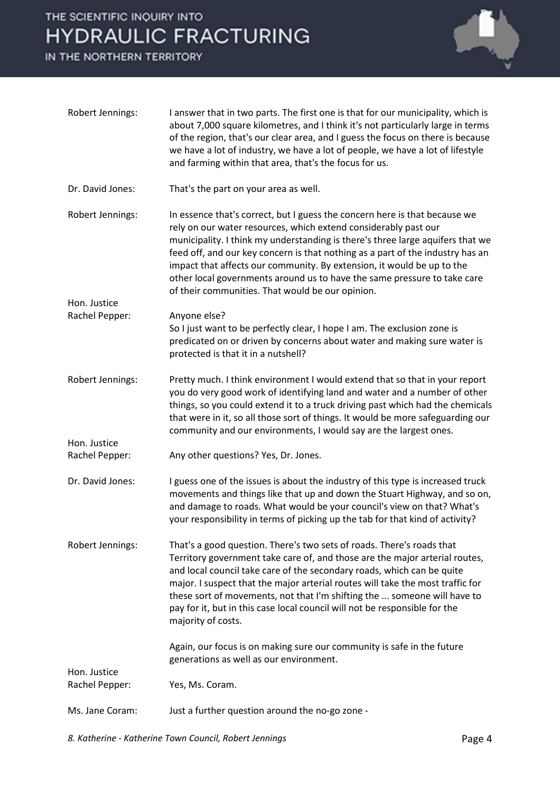## THE SCIENTIFIC INQUIRY INTO **HYDRAULIC FRACTURING**

IN THE NORTHERN TERRITORY



| Robert Jennings:               | I answer that in two parts. The first one is that for our municipality, which is<br>about 7,000 square kilometres, and I think it's not particularly large in terms<br>of the region, that's our clear area, and I guess the focus on there is because<br>we have a lot of industry, we have a lot of people, we have a lot of lifestyle<br>and farming within that area, that's the focus for us.                                                                                                                          |
|--------------------------------|-----------------------------------------------------------------------------------------------------------------------------------------------------------------------------------------------------------------------------------------------------------------------------------------------------------------------------------------------------------------------------------------------------------------------------------------------------------------------------------------------------------------------------|
| Dr. David Jones:               | That's the part on your area as well.                                                                                                                                                                                                                                                                                                                                                                                                                                                                                       |
| Robert Jennings:               | In essence that's correct, but I guess the concern here is that because we<br>rely on our water resources, which extend considerably past our<br>municipality. I think my understanding is there's three large aquifers that we<br>feed off, and our key concern is that nothing as a part of the industry has an<br>impact that affects our community. By extension, it would be up to the<br>other local governments around us to have the same pressure to take care<br>of their communities. That would be our opinion. |
| Hon. Justice                   |                                                                                                                                                                                                                                                                                                                                                                                                                                                                                                                             |
| Rachel Pepper:                 | Anyone else?<br>So I just want to be perfectly clear, I hope I am. The exclusion zone is<br>predicated on or driven by concerns about water and making sure water is<br>protected is that it in a nutshell?                                                                                                                                                                                                                                                                                                                 |
| Robert Jennings:               | Pretty much. I think environment I would extend that so that in your report<br>you do very good work of identifying land and water and a number of other<br>things, so you could extend it to a truck driving past which had the chemicals<br>that were in it, so all those sort of things. It would be more safeguarding our<br>community and our environments, I would say are the largest ones.                                                                                                                          |
| Hon. Justice<br>Rachel Pepper: | Any other questions? Yes, Dr. Jones.                                                                                                                                                                                                                                                                                                                                                                                                                                                                                        |
| Dr. David Jones:               | I guess one of the issues is about the industry of this type is increased truck<br>movements and things like that up and down the Stuart Highway, and so on,<br>and damage to roads. What would be your council's view on that? What's<br>your responsibility in terms of picking up the tab for that kind of activity?                                                                                                                                                                                                     |
| Robert Jennings:               | That's a good question. There's two sets of roads. There's roads that<br>Territory government take care of, and those are the major arterial routes,<br>and local council take care of the secondary roads, which can be quite<br>major. I suspect that the major arterial routes will take the most traffic for<br>these sort of movements, not that I'm shifting the  someone will have to<br>pay for it, but in this case local council will not be responsible for the<br>majority of costs.                            |
|                                | Again, our focus is on making sure our community is safe in the future<br>generations as well as our environment.                                                                                                                                                                                                                                                                                                                                                                                                           |
| Hon. Justice<br>Rachel Pepper: | Yes, Ms. Coram.                                                                                                                                                                                                                                                                                                                                                                                                                                                                                                             |
| Ms. Jane Coram:                | Just a further question around the no-go zone -                                                                                                                                                                                                                                                                                                                                                                                                                                                                             |